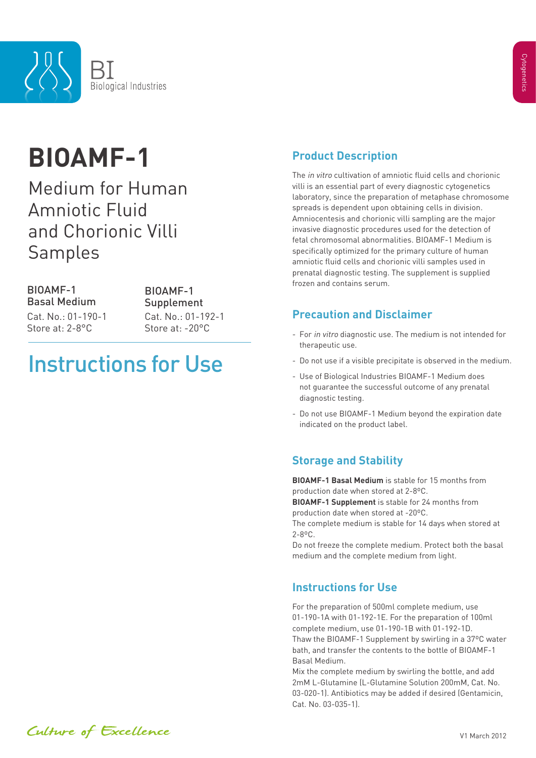

# **BIOAMF-1**

Medium for Human Amniotic Fluid and Chorionic Villi Samples

BIOAMF-1 Basal Medium Store at: 2-8°C Store at: -20°C Cat. No.: 01-190-1 Cat. No.: 01-192-1

BIOAMF-1 Supplement

## Instructions for Use

## **Product Description**

The in vitro cultivation of amniotic fluid cells and chorionic villi is an essential part of every diagnostic cytogenetics laboratory, since the preparation of metaphase chromosome spreads is dependent upon obtaining cells in division. Amniocentesis and chorionic villi sampling are the major invasive diagnostic procedures used for the detection of fetal chromosomal abnormalities. BIOAMF-1 Medium is specifically optimized for the primary culture of human amniotic fluid cells and chorionic villi samples used in prenatal diagnostic testing. The supplement is supplied frozen and contains serum.

#### **Precaution and Disclaimer**

- For in vitro diagnostic use. The medium is not intended for therapeutic use.
- Do not use if a visible precipitate is observed in the medium.
- Use of Biological Industries BIOAMF-1 Medium does not guarantee the successful outcome of any prenatal diagnostic testing.
- Do not use BIOAMF-1 Medium beyond the expiration date indicated on the product label.

### **Storage and Stability**

**BIOAMF-1 Basal Medium** is stable for 15 months from production date when stored at 2-8ºC. **BIOAMF-1 Supplement** is stable for 24 months from production date when stored at -20ºC. The complete medium is stable for 14 days when stored at

2-8ºC. Do not freeze the complete medium. Protect both the basal

medium and the complete medium from light.

### **Instructions for Use**

For the preparation of 500ml complete medium, use 01-190-1A with 01-192-1E. For the preparation of 100ml complete medium, use 01-190-1B with 01-192-1D. Thaw the BIOAMF-1 Supplement by swirling in a 37ºC water bath, and transfer the contents to the bottle of BIOAMF-1 Basal Medium.

Mix the complete medium by swirling the bottle, and add 2mM L-Glutamine (L-Glutamine Solution 200mM, Cat. No. 03-020-1). Antibiotics may be added if desired (Gentamicin, Cat. No. 03-035-1).